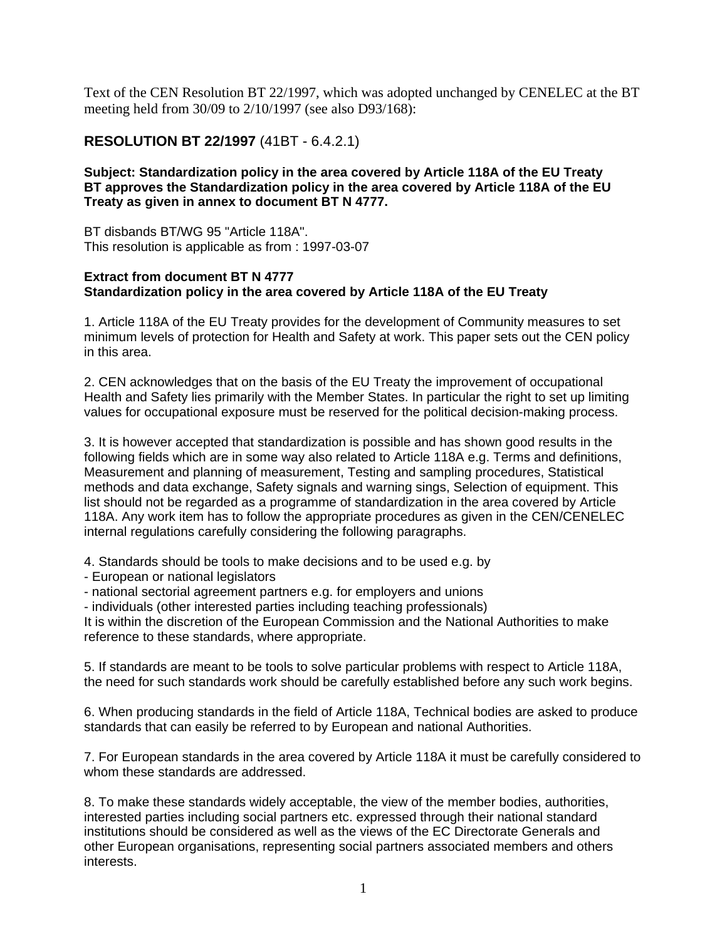Text of the CEN Resolution BT 22/1997, which was adopted unchanged by CENELEC at the BT meeting held from 30/09 to 2/10/1997 (see also D93/168):

## **RESOLUTION BT 22/1997** (41BT - 6.4.2.1)

## **Subject: Standardization policy in the area covered by Article 118A of the EU Treaty BT approves the Standardization policy in the area covered by Article 118A of the EU Treaty as given in annex to document BT N 4777.**

BT disbands BT/WG 95 "Article 118A". This resolution is applicable as from : 1997-03-07

## **Extract from document BT N 4777 Standardization policy in the area covered by Article 118A of the EU Treaty**

1. Article 118A of the EU Treaty provides for the development of Community measures to set minimum levels of protection for Health and Safety at work. This paper sets out the CEN policy in this area.

2. CEN acknowledges that on the basis of the EU Treaty the improvement of occupational Health and Safety lies primarily with the Member States. In particular the right to set up limiting values for occupational exposure must be reserved for the political decision-making process.

3. It is however accepted that standardization is possible and has shown good results in the following fields which are in some way also related to Article 118A e.g. Terms and definitions, Measurement and planning of measurement, Testing and sampling procedures, Statistical methods and data exchange, Safety signals and warning sings, Selection of equipment. This list should not be regarded as a programme of standardization in the area covered by Article 118A. Any work item has to follow the appropriate procedures as given in the CEN/CENELEC internal regulations carefully considering the following paragraphs.

4. Standards should be tools to make decisions and to be used e.g. by

- European or national legislators
- national sectorial agreement partners e.g. for employers and unions

- individuals (other interested parties including teaching professionals)

It is within the discretion of the European Commission and the National Authorities to make reference to these standards, where appropriate.

5. If standards are meant to be tools to solve particular problems with respect to Article 118A, the need for such standards work should be carefully established before any such work begins.

6. When producing standards in the field of Article 118A, Technical bodies are asked to produce standards that can easily be referred to by European and national Authorities.

7. For European standards in the area covered by Article 118A it must be carefully considered to whom these standards are addressed.

8. To make these standards widely acceptable, the view of the member bodies, authorities, interested parties including social partners etc. expressed through their national standard institutions should be considered as well as the views of the EC Directorate Generals and other European organisations, representing social partners associated members and others interests.